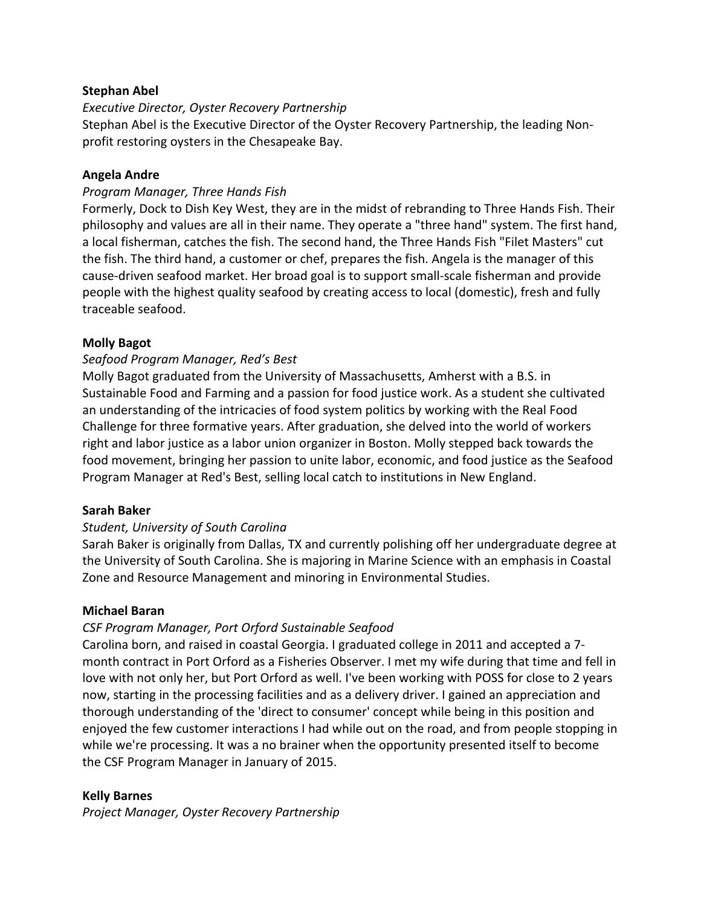## **Stephan Abel**

## *Executive Director, Oyster Recovery Partnership*

Stephan Abel is the Executive Director of the Oyster Recovery Partnership, the leading Nonprofit restoring oysters in the Chesapeake Bay.

## **Angela Andre**

## *Program Manager, Three Hands Fish*

Formerly, Dock to Dish Key West, they are in the midst of rebranding to Three Hands Fish. Their philosophy and values are all in their name. They operate a "three hand" system. The first hand, a local fisherman, catches the fish. The second hand, the Three Hands Fish "Filet Masters" cut the fish. The third hand, a customer or chef, prepares the fish. Angela is the manager of this cause-driven seafood market. Her broad goal is to support small-scale fisherman and provide people with the highest quality seafood by creating access to local (domestic), fresh and fully traceable seafood.

## **Molly Bagot**

## *Seafood Program Manager, Red's Best*

Molly Bagot graduated from the University of Massachusetts, Amherst with a B.S. in Sustainable Food and Farming and a passion for food justice work. As a student she cultivated an understanding of the intricacies of food system politics by working with the Real Food Challenge for three formative years. After graduation, she delved into the world of workers right and labor justice as a labor union organizer in Boston. Molly stepped back towards the food movement, bringing her passion to unite labor, economic, and food justice as the Seafood Program Manager at Red's Best, selling local catch to institutions in New England.

## **Sarah Baker**

## *Student, University of South Carolina*

Sarah Baker is originally from Dallas, TX and currently polishing off her undergraduate degree at the University of South Carolina. She is majoring in Marine Science with an emphasis in Coastal Zone and Resource Management and minoring in Environmental Studies.

## **Michael Baran**

## *CSF Program Manager, Port Orford Sustainable Seafood*

Carolina born, and raised in coastal Georgia. I graduated college in 2011 and accepted a 7month contract in Port Orford as a Fisheries Observer. I met my wife during that time and fell in love with not only her, but Port Orford as well. I've been working with POSS for close to 2 years now, starting in the processing facilities and as a delivery driver. I gained an appreciation and thorough understanding of the 'direct to consumer' concept while being in this position and enjoyed the few customer interactions I had while out on the road, and from people stopping in while we're processing. It was a no brainer when the opportunity presented itself to become the CSF Program Manager in January of 2015.

## **Kelly Barnes**

*Project Manager, Oyster Recovery Partnership*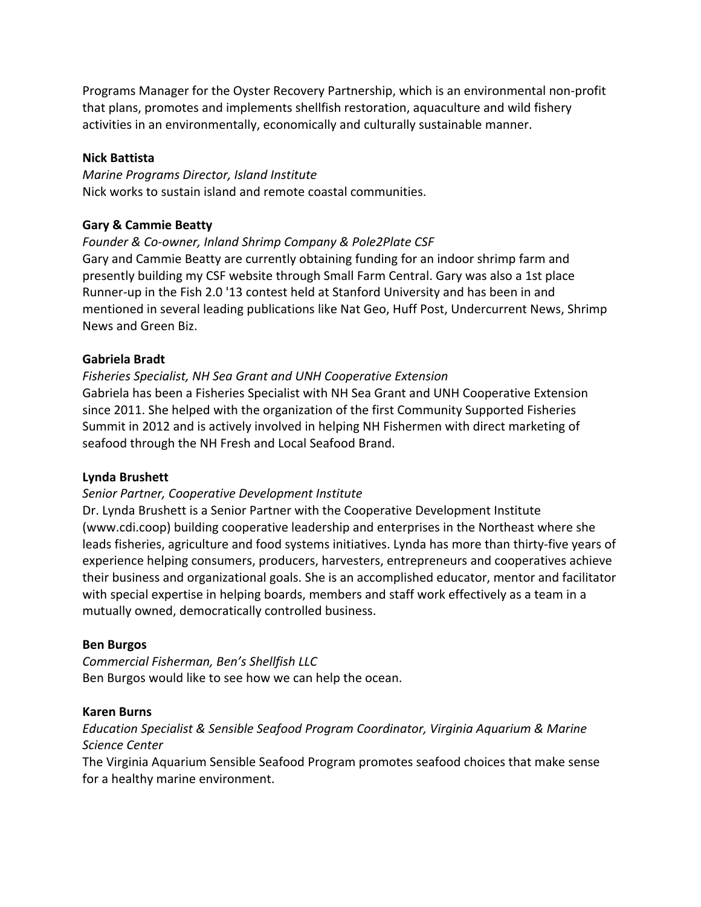Programs Manager for the Oyster Recovery Partnership, which is an environmental non-profit that plans, promotes and implements shellfish restoration, aquaculture and wild fishery activities in an environmentally, economically and culturally sustainable manner.

## **Nick Battista**

*Marine Programs Director, Island Institute* Nick works to sustain island and remote coastal communities.

## **Gary & Cammie Beatty**

*Founder & Co-owner, Inland Shrimp Company & Pole2Plate CSF* Gary and Cammie Beatty are currently obtaining funding for an indoor shrimp farm and presently building my CSF website through Small Farm Central. Gary was also a 1st place Runner-up in the Fish 2.0 '13 contest held at Stanford University and has been in and mentioned in several leading publications like Nat Geo, Huff Post, Undercurrent News, Shrimp News and Green Biz. 

## **Gabriela Bradt**

*Fisheries Specialist, NH Sea Grant and UNH Cooperative Extension* Gabriela has been a Fisheries Specialist with NH Sea Grant and UNH Cooperative Extension since 2011. She helped with the organization of the first Community Supported Fisheries Summit in 2012 and is actively involved in helping NH Fishermen with direct marketing of

## **Lynda Brushett**

## Senior Partner, Cooperative Development Institute

seafood through the NH Fresh and Local Seafood Brand.

Dr. Lynda Brushett is a Senior Partner with the Cooperative Development Institute (www.cdi.coop) building cooperative leadership and enterprises in the Northeast where she leads fisheries, agriculture and food systems initiatives. Lynda has more than thirty-five years of experience helping consumers, producers, harvesters, entrepreneurs and cooperatives achieve their business and organizational goals. She is an accomplished educator, mentor and facilitator with special expertise in helping boards, members and staff work effectively as a team in a mutually owned, democratically controlled business.

## **Ben Burgos**

*Commercial Fisherman, Ben's Shellfish LLC* Ben Burgos would like to see how we can help the ocean.

## **Karen Burns**

*Education Specialist & Sensible Seafood Program Coordinator, Virginia Aquarium & Marine Science Center*

The Virginia Aquarium Sensible Seafood Program promotes seafood choices that make sense for a healthy marine environment.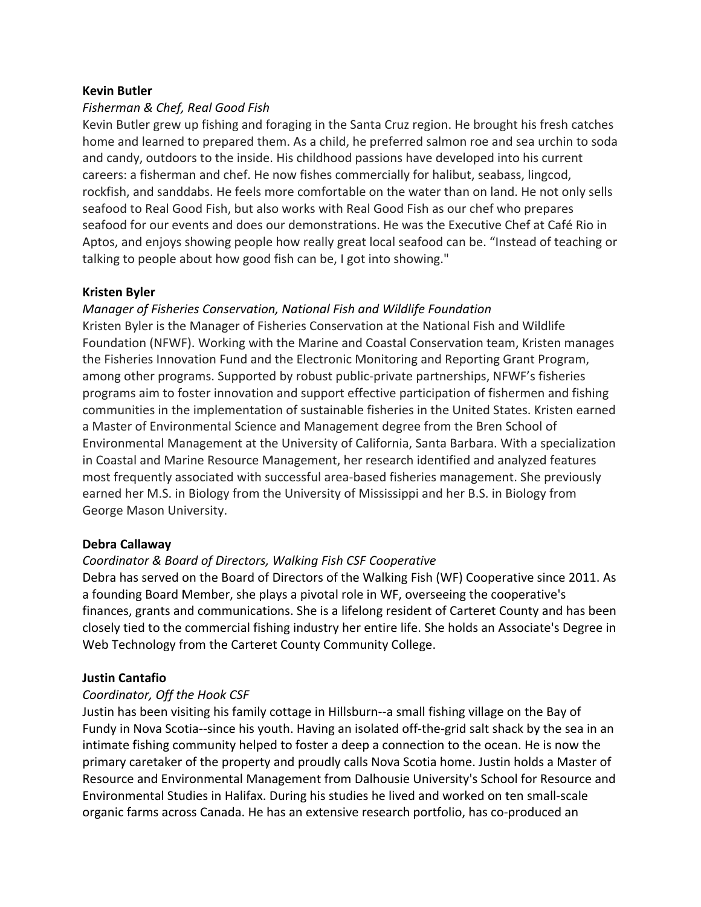## **Kevin Butler**

## *Fisherman & Chef, Real Good Fish*

Kevin Butler grew up fishing and foraging in the Santa Cruz region. He brought his fresh catches home and learned to prepared them. As a child, he preferred salmon roe and sea urchin to soda and candy, outdoors to the inside. His childhood passions have developed into his current careers: a fisherman and chef. He now fishes commercially for halibut, seabass, lingcod, rockfish, and sanddabs. He feels more comfortable on the water than on land. He not only sells seafood to Real Good Fish, but also works with Real Good Fish as our chef who prepares seafood for our events and does our demonstrations. He was the Executive Chef at Café Rio in Aptos, and enjoys showing people how really great local seafood can be. "Instead of teaching or talking to people about how good fish can be, I got into showing."

## **Kristen Byler**

## *Manager of Fisheries Conservation, National Fish and Wildlife Foundation*

Kristen Byler is the Manager of Fisheries Conservation at the National Fish and Wildlife Foundation (NFWF). Working with the Marine and Coastal Conservation team, Kristen manages the Fisheries Innovation Fund and the Electronic Monitoring and Reporting Grant Program, among other programs. Supported by robust public-private partnerships, NFWF's fisheries programs aim to foster innovation and support effective participation of fishermen and fishing communities in the implementation of sustainable fisheries in the United States. Kristen earned a Master of Environmental Science and Management degree from the Bren School of Environmental Management at the University of California, Santa Barbara. With a specialization in Coastal and Marine Resource Management, her research identified and analyzed features most frequently associated with successful area-based fisheries management. She previously earned her M.S. in Biology from the University of Mississippi and her B.S. in Biology from George Mason University.

## **Debra Callaway**

## *Coordinator & Board of Directors, Walking Fish CSF Cooperative*

Debra has served on the Board of Directors of the Walking Fish (WF) Cooperative since 2011. As a founding Board Member, she plays a pivotal role in WF, overseeing the cooperative's finances, grants and communications. She is a lifelong resident of Carteret County and has been closely tied to the commercial fishing industry her entire life. She holds an Associate's Degree in Web Technology from the Carteret County Community College.

## **Justin Cantafio**

## *Coordinator, Off the Hook CSF*

Justin has been visiting his family cottage in Hillsburn--a small fishing village on the Bay of Fundy in Nova Scotia--since his youth. Having an isolated off-the-grid salt shack by the sea in an intimate fishing community helped to foster a deep a connection to the ocean. He is now the primary caretaker of the property and proudly calls Nova Scotia home. Justin holds a Master of Resource and Environmental Management from Dalhousie University's School for Resource and Environmental Studies in Halifax. During his studies he lived and worked on ten small-scale organic farms across Canada. He has an extensive research portfolio, has co-produced an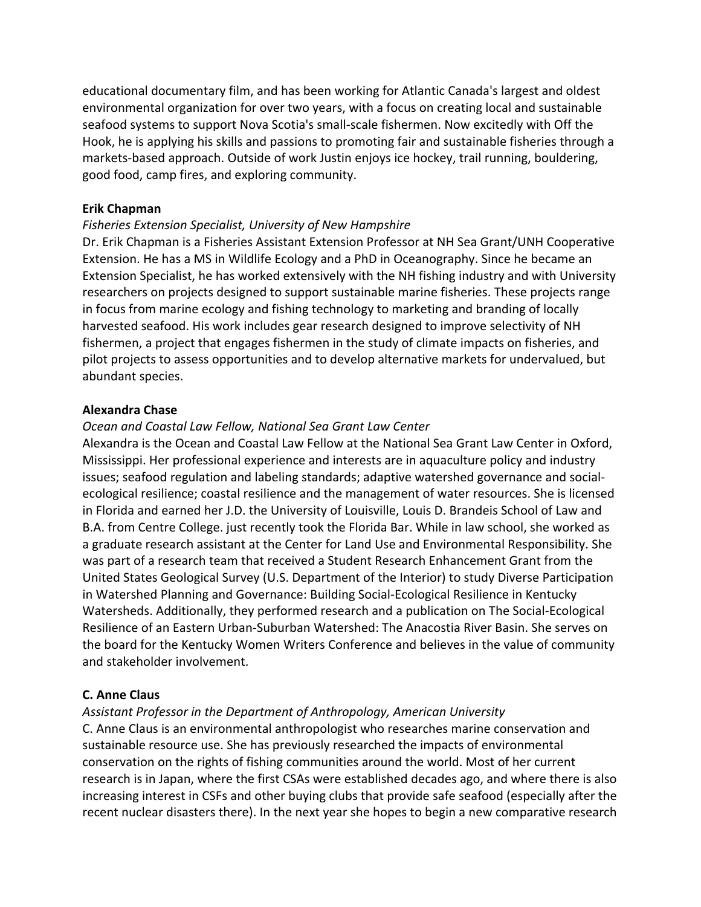educational documentary film, and has been working for Atlantic Canada's largest and oldest environmental organization for over two years, with a focus on creating local and sustainable seafood systems to support Nova Scotia's small-scale fishermen. Now excitedly with Off the Hook, he is applying his skills and passions to promoting fair and sustainable fisheries through a markets-based approach. Outside of work Justin enjoys ice hockey, trail running, bouldering, good food, camp fires, and exploring community.

#### **Erik Chapman**

#### Fisheries Extension Specialist, University of New Hampshire

Dr. Erik Chapman is a Fisheries Assistant Extension Professor at NH Sea Grant/UNH Cooperative Extension. He has a MS in Wildlife Ecology and a PhD in Oceanography. Since he became an Extension Specialist, he has worked extensively with the NH fishing industry and with University researchers on projects designed to support sustainable marine fisheries. These projects range in focus from marine ecology and fishing technology to marketing and branding of locally harvested seafood. His work includes gear research designed to improve selectivity of NH fishermen, a project that engages fishermen in the study of climate impacts on fisheries, and pilot projects to assess opportunities and to develop alternative markets for undervalued, but abundant species.

#### **Alexandra Chase**

#### *Ocean and Coastal Law Fellow, National Sea Grant Law Center*

Alexandra is the Ocean and Coastal Law Fellow at the National Sea Grant Law Center in Oxford, Mississippi. Her professional experience and interests are in aquaculture policy and industry issues; seafood regulation and labeling standards; adaptive watershed governance and socialecological resilience; coastal resilience and the management of water resources. She is licensed in Florida and earned her J.D. the University of Louisville, Louis D. Brandeis School of Law and B.A. from Centre College. just recently took the Florida Bar. While in law school, she worked as a graduate research assistant at the Center for Land Use and Environmental Responsibility. She was part of a research team that received a Student Research Enhancement Grant from the United States Geological Survey (U.S. Department of the Interior) to study Diverse Participation in Watershed Planning and Governance: Building Social-Ecological Resilience in Kentucky Watersheds. Additionally, they performed research and a publication on The Social-Ecological Resilience of an Eastern Urban-Suburban Watershed: The Anacostia River Basin. She serves on the board for the Kentucky Women Writers Conference and believes in the value of community and stakeholder involvement.

#### **C. Anne Claus**

#### Assistant Professor in the Department of Anthropology, American University

C. Anne Claus is an environmental anthropologist who researches marine conservation and sustainable resource use. She has previously researched the impacts of environmental conservation on the rights of fishing communities around the world. Most of her current research is in Japan, where the first CSAs were established decades ago, and where there is also increasing interest in CSFs and other buying clubs that provide safe seafood (especially after the recent nuclear disasters there). In the next year she hopes to begin a new comparative research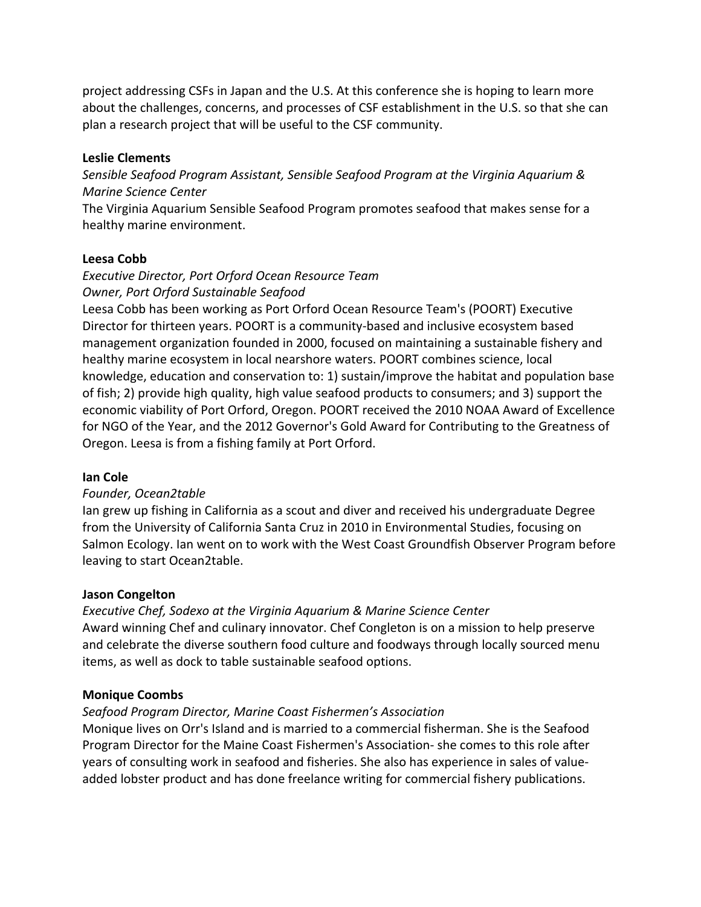project addressing CSFs in Japan and the U.S. At this conference she is hoping to learn more about the challenges, concerns, and processes of CSF establishment in the U.S. so that she can plan a research project that will be useful to the CSF community.

## **Leslie Clements**

Sensible Seafood Program Assistant, Sensible Seafood Program at the Virginia Aquarium & *Marine Science Center*

The Virginia Aquarium Sensible Seafood Program promotes seafood that makes sense for a healthy marine environment.

## **Leesa Cobb**

# *Executive Director, Port Orford Ocean Resource Team Owner, Port Orford Sustainable Seafood*

Leesa Cobb has been working as Port Orford Ocean Resource Team's (POORT) Executive Director for thirteen years. POORT is a community-based and inclusive ecosystem based management organization founded in 2000, focused on maintaining a sustainable fishery and healthy marine ecosystem in local nearshore waters. POORT combines science, local knowledge, education and conservation to: 1) sustain/improve the habitat and population base of fish; 2) provide high quality, high value seafood products to consumers; and 3) support the economic viability of Port Orford, Oregon. POORT received the 2010 NOAA Award of Excellence for NGO of the Year, and the 2012 Governor's Gold Award for Contributing to the Greatness of Oregon. Leesa is from a fishing family at Port Orford.

## **Ian Cole**

## *Founder, Ocean2table*

Ian grew up fishing in California as a scout and diver and received his undergraduate Degree from the University of California Santa Cruz in 2010 in Environmental Studies, focusing on Salmon Ecology. Ian went on to work with the West Coast Groundfish Observer Program before leaving to start Ocean2table.

## **Jason Congelton**

## **Executive Chef, Sodexo at the Virginia Aquarium & Marine Science Center** Award winning Chef and culinary innovator. Chef Congleton is on a mission to help preserve and celebrate the diverse southern food culture and foodways through locally sourced menu items, as well as dock to table sustainable seafood options.

## **Monique Coombs**

## *Seafood Program Director, Marine Coast Fishermen's Association*

Monique lives on Orr's Island and is married to a commercial fisherman. She is the Seafood Program Director for the Maine Coast Fishermen's Association- she comes to this role after years of consulting work in seafood and fisheries. She also has experience in sales of valueadded lobster product and has done freelance writing for commercial fishery publications.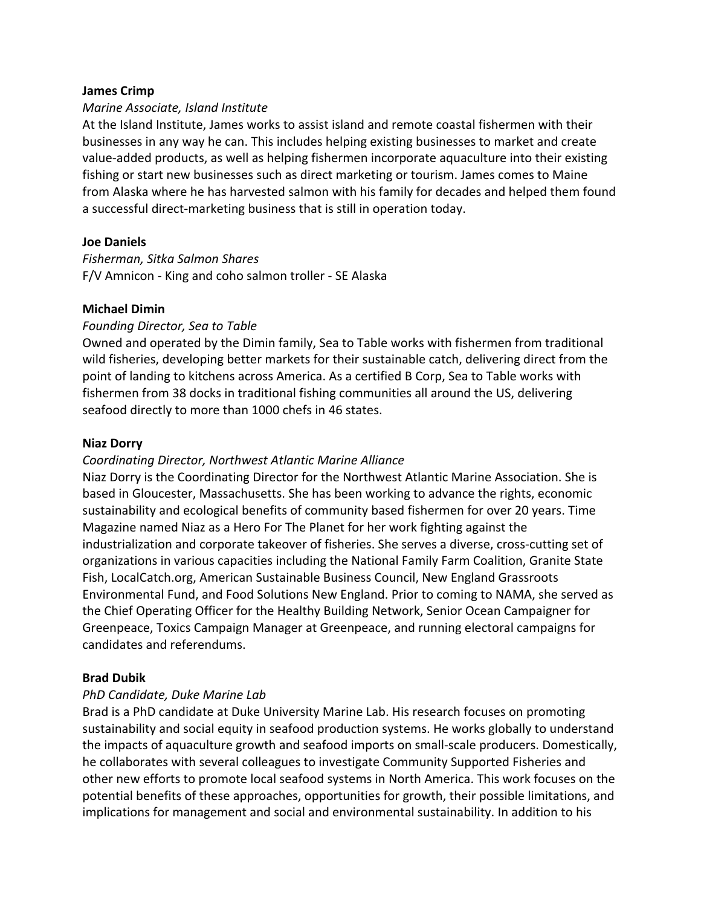#### **James Crimp**

#### *Marine Associate, Island Institute*

At the Island Institute, James works to assist island and remote coastal fishermen with their businesses in any way he can. This includes helping existing businesses to market and create value-added products, as well as helping fishermen incorporate aquaculture into their existing fishing or start new businesses such as direct marketing or tourism. James comes to Maine from Alaska where he has harvested salmon with his family for decades and helped them found a successful direct-marketing business that is still in operation today.

#### **Joe Daniels**

*Fisherman, Sitka Salmon Shares* F/V Amnicon - King and coho salmon troller - SE Alaska

#### **Michael Dimin**

## *Founding Director, Sea to Table*

Owned and operated by the Dimin family, Sea to Table works with fishermen from traditional wild fisheries, developing better markets for their sustainable catch, delivering direct from the point of landing to kitchens across America. As a certified B Corp, Sea to Table works with fishermen from 38 docks in traditional fishing communities all around the US, delivering seafood directly to more than 1000 chefs in 46 states.

#### **Niaz Dorry**

#### *Coordinating Director, Northwest Atlantic Marine Alliance*

Niaz Dorry is the Coordinating Director for the Northwest Atlantic Marine Association. She is based in Gloucester, Massachusetts. She has been working to advance the rights, economic sustainability and ecological benefits of community based fishermen for over 20 years. Time Magazine named Niaz as a Hero For The Planet for her work fighting against the industrialization and corporate takeover of fisheries. She serves a diverse, cross-cutting set of organizations in various capacities including the National Family Farm Coalition, Granite State Fish, LocalCatch.org, American Sustainable Business Council, New England Grassroots Environmental Fund, and Food Solutions New England. Prior to coming to NAMA, she served as the Chief Operating Officer for the Healthy Building Network, Senior Ocean Campaigner for Greenpeace, Toxics Campaign Manager at Greenpeace, and running electoral campaigns for candidates and referendums.

## **Brad Dubik**

## *PhD Candidate, Duke Marine Lab*

Brad is a PhD candidate at Duke University Marine Lab. His research focuses on promoting sustainability and social equity in seafood production systems. He works globally to understand the impacts of aquaculture growth and seafood imports on small-scale producers. Domestically, he collaborates with several colleagues to investigate Community Supported Fisheries and other new efforts to promote local seafood systems in North America. This work focuses on the potential benefits of these approaches, opportunities for growth, their possible limitations, and implications for management and social and environmental sustainability. In addition to his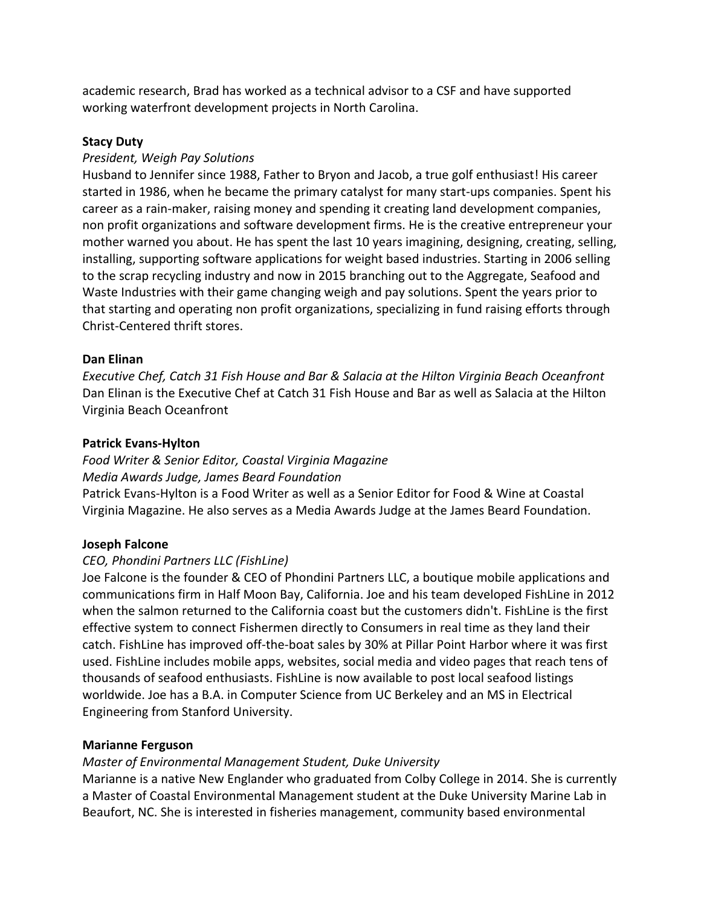academic research, Brad has worked as a technical advisor to a CSF and have supported working waterfront development projects in North Carolina.

## **Stacy Duty**

## *President, Weigh Pay Solutions*

Husband to Jennifer since 1988, Father to Bryon and Jacob, a true golf enthusiast! His career started in 1986, when he became the primary catalyst for many start-ups companies. Spent his career as a rain-maker, raising money and spending it creating land development companies, non profit organizations and software development firms. He is the creative entrepreneur your mother warned you about. He has spent the last 10 years imagining, designing, creating, selling, installing, supporting software applications for weight based industries. Starting in 2006 selling to the scrap recycling industry and now in 2015 branching out to the Aggregate, Seafood and Waste Industries with their game changing weigh and pay solutions. Spent the years prior to that starting and operating non profit organizations, specializing in fund raising efforts through Christ-Centered thrift stores.

## **Dan Elinan**

*Executive Chef, Catch 31 Fish House and Bar & Salacia at the Hilton Virginia Beach Oceanfront* Dan Elinan is the Executive Chef at Catch 31 Fish House and Bar as well as Salacia at the Hilton Virginia Beach Oceanfront

## **Patrick Evans-Hylton**

*Food Writer & Senior Editor, Coastal Virginia Magazine Media Awards Judge, James Beard Foundation* Patrick Evans-Hylton is a Food Writer as well as a Senior Editor for Food & Wine at Coastal Virginia Magazine. He also serves as a Media Awards Judge at the James Beard Foundation.

## **Joseph Falcone**

## *CEO, Phondini Partners LLC (FishLine)*

Joe Falcone is the founder & CEO of Phondini Partners LLC, a boutique mobile applications and communications firm in Half Moon Bay, California. Joe and his team developed FishLine in 2012 when the salmon returned to the California coast but the customers didn't. FishLine is the first effective system to connect Fishermen directly to Consumers in real time as they land their catch. FishLine has improved off-the-boat sales by 30% at Pillar Point Harbor where it was first used. FishLine includes mobile apps, websites, social media and video pages that reach tens of thousands of seafood enthusiasts. FishLine is now available to post local seafood listings worldwide. Joe has a B.A. in Computer Science from UC Berkeley and an MS in Electrical Engineering from Stanford University.

## **Marianne Ferguson**

## *Master of Environmental Management Student, Duke University*

Marianne is a native New Englander who graduated from Colby College in 2014. She is currently a Master of Coastal Environmental Management student at the Duke University Marine Lab in Beaufort, NC. She is interested in fisheries management, community based environmental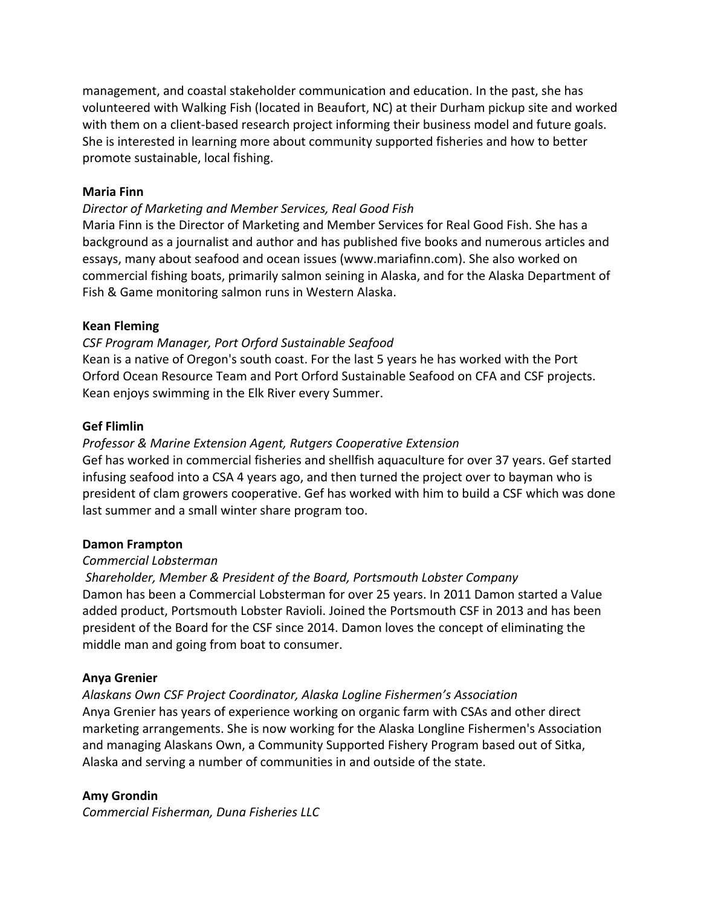management, and coastal stakeholder communication and education. In the past, she has volunteered with Walking Fish (located in Beaufort, NC) at their Durham pickup site and worked with them on a client-based research project informing their business model and future goals. She is interested in learning more about community supported fisheries and how to better promote sustainable, local fishing.

## **Maria Finn**

## *Director of Marketing and Member Services, Real Good Fish*

Maria Finn is the Director of Marketing and Member Services for Real Good Fish. She has a background as a journalist and author and has published five books and numerous articles and essays, many about seafood and ocean issues (www.mariafinn.com). She also worked on commercial fishing boats, primarily salmon seining in Alaska, and for the Alaska Department of Fish & Game monitoring salmon runs in Western Alaska.

## **Kean Fleming**

## *CSF Program Manager, Port Orford Sustainable Seafood*

Kean is a native of Oregon's south coast. For the last 5 years he has worked with the Port Orford Ocean Resource Team and Port Orford Sustainable Seafood on CFA and CSF projects. Kean enjoys swimming in the Elk River every Summer.

## **Gef Flimlin**

## *Professor & Marine Extension Agent, Rutgers Cooperative Extension*

Gef has worked in commercial fisheries and shellfish aquaculture for over 37 years. Gef started infusing seafood into a CSA 4 years ago, and then turned the project over to bayman who is president of clam growers cooperative. Gef has worked with him to build a CSF which was done last summer and a small winter share program too.

## **Damon Frampton**

## *Commercial Lobsterman*

## *Shareholder, Member & President of the Board, Portsmouth Lobster Company* Damon has been a Commercial Lobsterman for over 25 years. In 2011 Damon started a Value added product, Portsmouth Lobster Ravioli. Joined the Portsmouth CSF in 2013 and has been president of the Board for the CSF since 2014. Damon loves the concept of eliminating the middle man and going from boat to consumer.

## **Anya Grenier**

## *Alaskans Own CSF Project Coordinator, Alaska Logline Fishermen's Association*

Anya Grenier has years of experience working on organic farm with CSAs and other direct marketing arrangements. She is now working for the Alaska Longline Fishermen's Association and managing Alaskans Own, a Community Supported Fishery Program based out of Sitka, Alaska and serving a number of communities in and outside of the state.

## **Amy Grondin**

*Commercial Fisherman, Duna Fisheries LLC*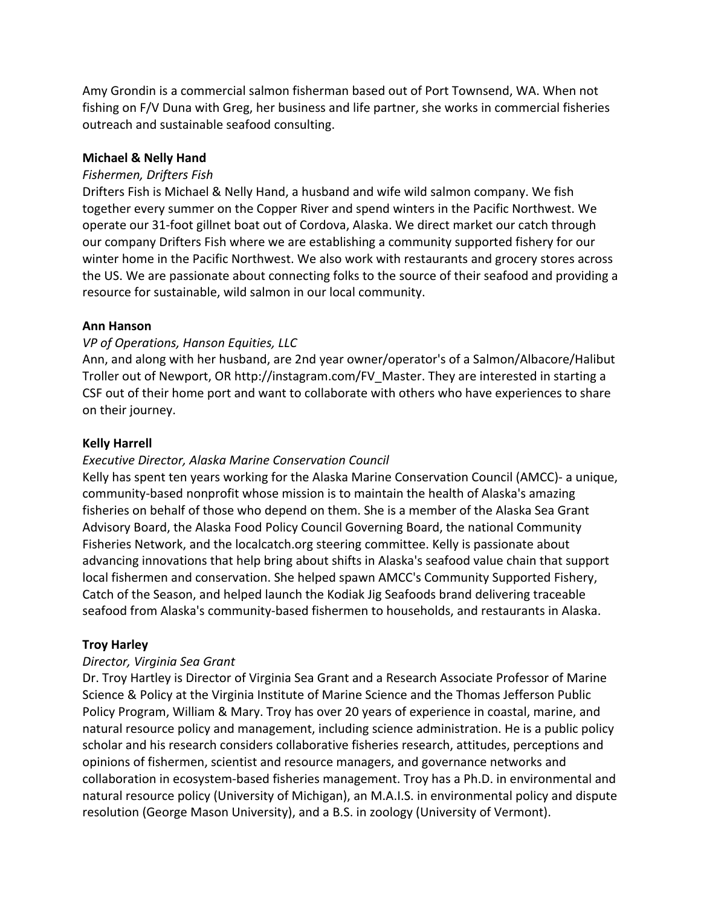Amy Grondin is a commercial salmon fisherman based out of Port Townsend, WA. When not fishing on F/V Duna with Greg, her business and life partner, she works in commercial fisheries outreach and sustainable seafood consulting.

## **Michael & Nelly Hand**

## *Fishermen, Drifters Fish*

Drifters Fish is Michael & Nelly Hand, a husband and wife wild salmon company. We fish together every summer on the Copper River and spend winters in the Pacific Northwest. We operate our 31-foot gillnet boat out of Cordova, Alaska. We direct market our catch through our company Drifters Fish where we are establishing a community supported fishery for our winter home in the Pacific Northwest. We also work with restaurants and grocery stores across the US. We are passionate about connecting folks to the source of their seafood and providing a resource for sustainable, wild salmon in our local community.

## **Ann Hanson**

## *VP of Operations, Hanson Equities, LLC*

Ann, and along with her husband, are 2nd year owner/operator's of a Salmon/Albacore/Halibut Troller out of Newport, OR http://instagram.com/FV\_Master. They are interested in starting a CSF out of their home port and want to collaborate with others who have experiences to share on their journey.

## **Kelly Harrell**

## *Executive Director, Alaska Marine Conservation Council*

Kelly has spent ten years working for the Alaska Marine Conservation Council (AMCC)- a unique, community-based nonprofit whose mission is to maintain the health of Alaska's amazing fisheries on behalf of those who depend on them. She is a member of the Alaska Sea Grant Advisory Board, the Alaska Food Policy Council Governing Board, the national Community Fisheries Network, and the localcatch.org steering committee. Kelly is passionate about advancing innovations that help bring about shifts in Alaska's seafood value chain that support local fishermen and conservation. She helped spawn AMCC's Community Supported Fishery, Catch of the Season, and helped launch the Kodiak Jig Seafoods brand delivering traceable seafood from Alaska's community-based fishermen to households, and restaurants in Alaska.

## **Troy Harley**

## *Director, Virginia Sea Grant*

Dr. Troy Hartley is Director of Virginia Sea Grant and a Research Associate Professor of Marine Science & Policy at the Virginia Institute of Marine Science and the Thomas Jefferson Public Policy Program, William & Mary. Troy has over 20 years of experience in coastal, marine, and natural resource policy and management, including science administration. He is a public policy scholar and his research considers collaborative fisheries research, attitudes, perceptions and opinions of fishermen, scientist and resource managers, and governance networks and collaboration in ecosystem-based fisheries management. Troy has a Ph.D. in environmental and natural resource policy (University of Michigan), an M.A.I.S. in environmental policy and dispute resolution (George Mason University), and a B.S. in zoology (University of Vermont).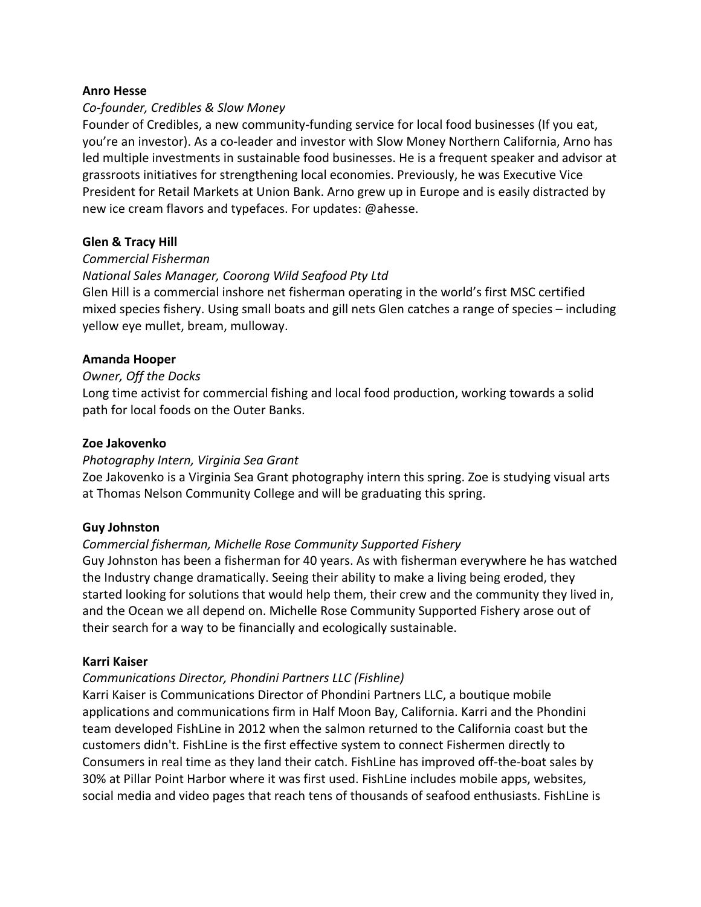#### **Anro Hesse**

## *Co-founder, Credibles & Slow Money*

Founder of Credibles, a new community-funding service for local food businesses (If you eat, you're an investor). As a co-leader and investor with Slow Money Northern California, Arno has led multiple investments in sustainable food businesses. He is a frequent speaker and advisor at grassroots initiatives for strengthening local economies. Previously, he was Executive Vice President for Retail Markets at Union Bank. Arno grew up in Europe and is easily distracted by new ice cream flavors and typefaces. For updates: @ahesse.

#### **Glen & Tracy Hill**

#### *Commercial Fisherman*

## *National Sales Manager, Coorong Wild Seafood Pty Ltd*

Glen Hill is a commercial inshore net fisherman operating in the world's first MSC certified mixed species fishery. Using small boats and gill nets Glen catches a range of species – including yellow eye mullet, bream, mulloway.

#### **Amanda Hooper**

#### **Owner, Off the Docks**

Long time activist for commercial fishing and local food production, working towards a solid path for local foods on the Outer Banks.

#### **Zoe Jakovenko**

#### *Photography Intern, Virginia Sea Grant*

Zoe Jakovenko is a Virginia Sea Grant photography intern this spring. Zoe is studying visual arts at Thomas Nelson Community College and will be graduating this spring.

## **Guy Johnston**

## *Commercial fisherman, Michelle Rose Community Supported Fishery*

Guy Johnston has been a fisherman for 40 years. As with fisherman everywhere he has watched the Industry change dramatically. Seeing their ability to make a living being eroded, they started looking for solutions that would help them, their crew and the community they lived in, and the Ocean we all depend on. Michelle Rose Community Supported Fishery arose out of their search for a way to be financially and ecologically sustainable.

## **Karri Kaiser**

## *Communications Director, Phondini Partners LLC (Fishline)*

Karri Kaiser is Communications Director of Phondini Partners LLC, a boutique mobile applications and communications firm in Half Moon Bay, California. Karri and the Phondini team developed FishLine in 2012 when the salmon returned to the California coast but the customers didn't. FishLine is the first effective system to connect Fishermen directly to Consumers in real time as they land their catch. FishLine has improved off-the-boat sales by 30% at Pillar Point Harbor where it was first used. FishLine includes mobile apps, websites, social media and video pages that reach tens of thousands of seafood enthusiasts. FishLine is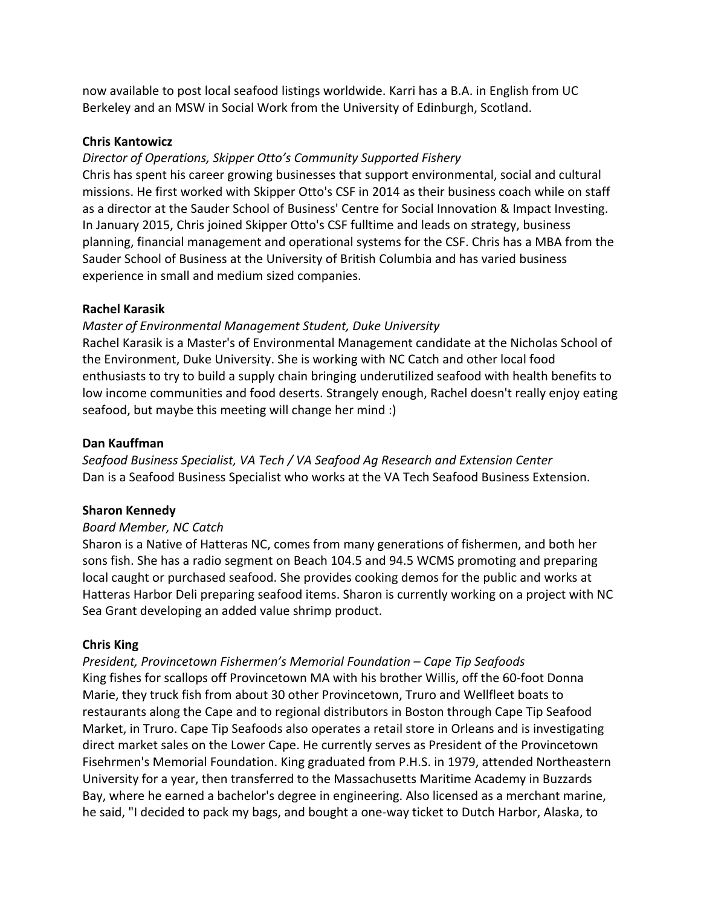now available to post local seafood listings worldwide. Karri has a B.A. in English from UC Berkeley and an MSW in Social Work from the University of Edinburgh, Scotland.

## **Chris Kantowicz**

## *Director of Operations, Skipper Otto's Community Supported Fishery*

Chris has spent his career growing businesses that support environmental, social and cultural missions. He first worked with Skipper Otto's CSF in 2014 as their business coach while on staff as a director at the Sauder School of Business' Centre for Social Innovation & Impact Investing. In January 2015, Chris joined Skipper Otto's CSF fulltime and leads on strategy, business planning, financial management and operational systems for the CSF. Chris has a MBA from the Sauder School of Business at the University of British Columbia and has varied business experience in small and medium sized companies.

## **Rachel Karasik**

## *Master of Environmental Management Student, Duke University*

Rachel Karasik is a Master's of Environmental Management candidate at the Nicholas School of the Environment, Duke University. She is working with NC Catch and other local food enthusiasts to try to build a supply chain bringing underutilized seafood with health benefits to low income communities and food deserts. Strangely enough, Rachel doesn't really enjoy eating seafood, but maybe this meeting will change her mind :)

## **Dan Kauffman**

Seafood Business Specialist, VA Tech / VA Seafood Ag Research and Extension Center Dan is a Seafood Business Specialist who works at the VA Tech Seafood Business Extension.

## **Sharon Kennedy**

## *Board Member, NC Catch*

Sharon is a Native of Hatteras NC, comes from many generations of fishermen, and both her sons fish. She has a radio segment on Beach 104.5 and 94.5 WCMS promoting and preparing local caught or purchased seafood. She provides cooking demos for the public and works at Hatteras Harbor Deli preparing seafood items. Sharon is currently working on a project with NC Sea Grant developing an added value shrimp product.

## **Chris King**

## *President, Provincetown Fishermen's Memorial Foundation – Cape Tip Seafoods*

King fishes for scallops off Provincetown MA with his brother Willis, off the 60-foot Donna Marie, they truck fish from about 30 other Provincetown, Truro and Wellfleet boats to restaurants along the Cape and to regional distributors in Boston through Cape Tip Seafood Market, in Truro. Cape Tip Seafoods also operates a retail store in Orleans and is investigating direct market sales on the Lower Cape. He currently serves as President of the Provincetown Fisehrmen's Memorial Foundation. King graduated from P.H.S. in 1979, attended Northeastern University for a year, then transferred to the Massachusetts Maritime Academy in Buzzards Bay, where he earned a bachelor's degree in engineering. Also licensed as a merchant marine, he said, "I decided to pack my bags, and bought a one-way ticket to Dutch Harbor, Alaska, to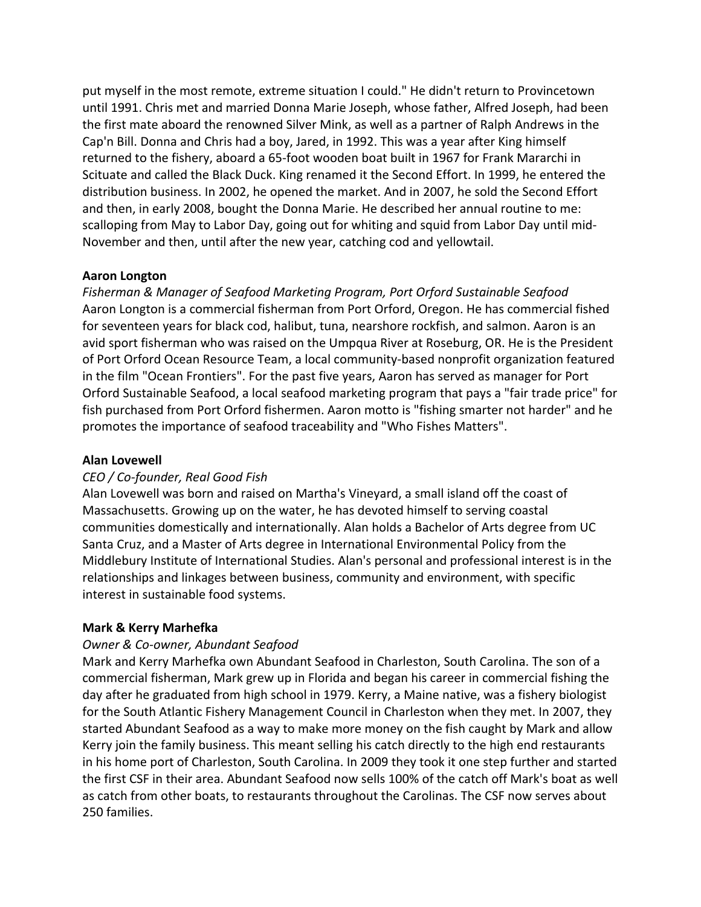put myself in the most remote, extreme situation I could." He didn't return to Provincetown until 1991. Chris met and married Donna Marie Joseph, whose father, Alfred Joseph, had been the first mate aboard the renowned Silver Mink, as well as a partner of Ralph Andrews in the Cap'n Bill. Donna and Chris had a boy, Jared, in 1992. This was a year after King himself returned to the fishery, aboard a 65-foot wooden boat built in 1967 for Frank Mararchi in Scituate and called the Black Duck. King renamed it the Second Effort. In 1999, he entered the distribution business. In 2002, he opened the market. And in 2007, he sold the Second Effort and then, in early 2008, bought the Donna Marie. He described her annual routine to me: scalloping from May to Labor Day, going out for whiting and squid from Labor Day until mid-November and then, until after the new year, catching cod and yellowtail.

## **Aaron Longton**

*Fisherman & Manager of Seafood Marketing Program, Port Orford Sustainable Seafood* Aaron Longton is a commercial fisherman from Port Orford, Oregon. He has commercial fished for seventeen years for black cod, halibut, tuna, nearshore rockfish, and salmon. Aaron is an avid sport fisherman who was raised on the Umpqua River at Roseburg, OR. He is the President of Port Orford Ocean Resource Team, a local community-based nonprofit organization featured in the film "Ocean Frontiers". For the past five years, Aaron has served as manager for Port Orford Sustainable Seafood, a local seafood marketing program that pays a "fair trade price" for fish purchased from Port Orford fishermen. Aaron motto is "fishing smarter not harder" and he promotes the importance of seafood traceability and "Who Fishes Matters".

## **Alan Lovewell**

## *CEO / Co-founder, Real Good Fish*

Alan Lovewell was born and raised on Martha's Vineyard, a small island off the coast of Massachusetts. Growing up on the water, he has devoted himself to serving coastal communities domestically and internationally. Alan holds a Bachelor of Arts degree from UC Santa Cruz, and a Master of Arts degree in International Environmental Policy from the Middlebury Institute of International Studies. Alan's personal and professional interest is in the relationships and linkages between business, community and environment, with specific interest in sustainable food systems.

## **Mark & Kerry Marhefka**

## *Owner & Co-owner, Abundant Seafood*

Mark and Kerry Marhefka own Abundant Seafood in Charleston, South Carolina. The son of a commercial fisherman, Mark grew up in Florida and began his career in commercial fishing the day after he graduated from high school in 1979. Kerry, a Maine native, was a fishery biologist for the South Atlantic Fishery Management Council in Charleston when they met. In 2007, they started Abundant Seafood as a way to make more money on the fish caught by Mark and allow Kerry join the family business. This meant selling his catch directly to the high end restaurants in his home port of Charleston, South Carolina. In 2009 they took it one step further and started the first CSF in their area. Abundant Seafood now sells 100% of the catch off Mark's boat as well as catch from other boats, to restaurants throughout the Carolinas. The CSF now serves about 250 families.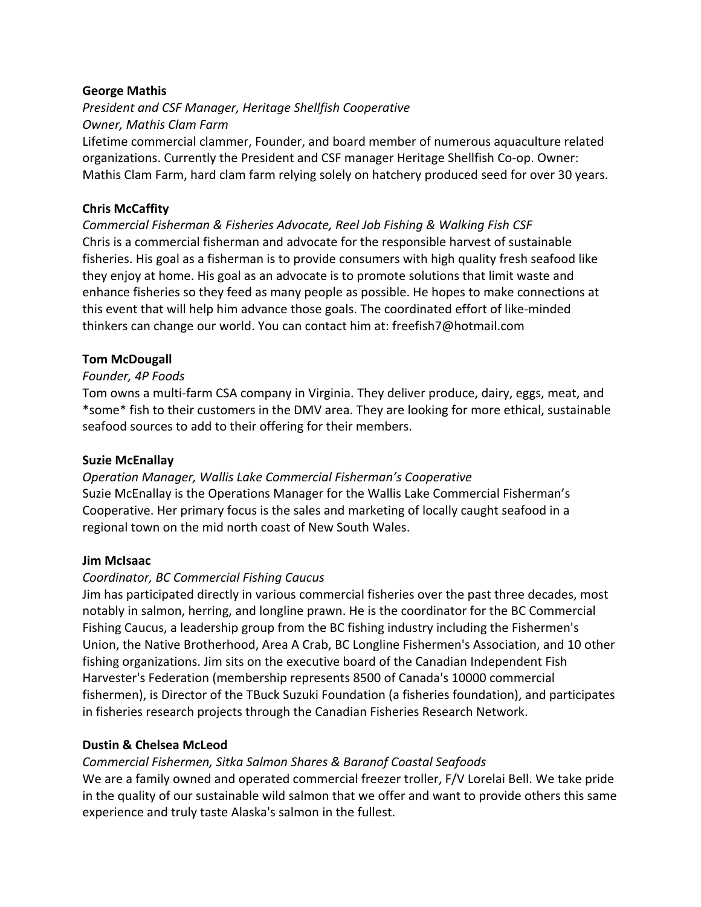## **George Mathis**

*President and CSF Manager, Heritage Shellfish Cooperative Owner, Mathis Clam Farm*

Lifetime commercial clammer, Founder, and board member of numerous aquaculture related organizations. Currently the President and CSF manager Heritage Shellfish Co-op. Owner: Mathis Clam Farm, hard clam farm relying solely on hatchery produced seed for over 30 years.

## **Chris McCaffity**

*Commercial Fisherman & Fisheries Advocate, Reel Job Fishing & Walking Fish CSF* Chris is a commercial fisherman and advocate for the responsible harvest of sustainable fisheries. His goal as a fisherman is to provide consumers with high quality fresh seafood like they enjoy at home. His goal as an advocate is to promote solutions that limit waste and enhance fisheries so they feed as many people as possible. He hopes to make connections at this event that will help him advance those goals. The coordinated effort of like-minded thinkers can change our world. You can contact him at: freefish7@hotmail.com

## **Tom McDougall**

## *Founder, 4P Foods*

Tom owns a multi-farm CSA company in Virginia. They deliver produce, dairy, eggs, meat, and \*some\* fish to their customers in the DMV area. They are looking for more ethical, sustainable seafood sources to add to their offering for their members.

## **Suzie McEnallay**

*Operation Manager, Wallis Lake Commercial Fisherman's Cooperative* Suzie McEnallay is the Operations Manager for the Wallis Lake Commercial Fisherman's Cooperative. Her primary focus is the sales and marketing of locally caught seafood in a regional town on the mid north coast of New South Wales.

## **Jim McIsaac**

## *Coordinator, BC Commercial Fishing Caucus*

Jim has participated directly in various commercial fisheries over the past three decades, most notably in salmon, herring, and longline prawn. He is the coordinator for the BC Commercial Fishing Caucus, a leadership group from the BC fishing industry including the Fishermen's Union, the Native Brotherhood, Area A Crab, BC Longline Fishermen's Association, and 10 other fishing organizations. Jim sits on the executive board of the Canadian Independent Fish Harvester's Federation (membership represents 8500 of Canada's 10000 commercial fishermen), is Director of the TBuck Suzuki Foundation (a fisheries foundation), and participates in fisheries research projects through the Canadian Fisheries Research Network.

## **Dustin & Chelsea McLeod**

## *Commercial Fishermen, Sitka Salmon Shares & Baranof Coastal Seafoods*

We are a family owned and operated commercial freezer troller, F/V Lorelai Bell. We take pride in the quality of our sustainable wild salmon that we offer and want to provide others this same experience and truly taste Alaska's salmon in the fullest.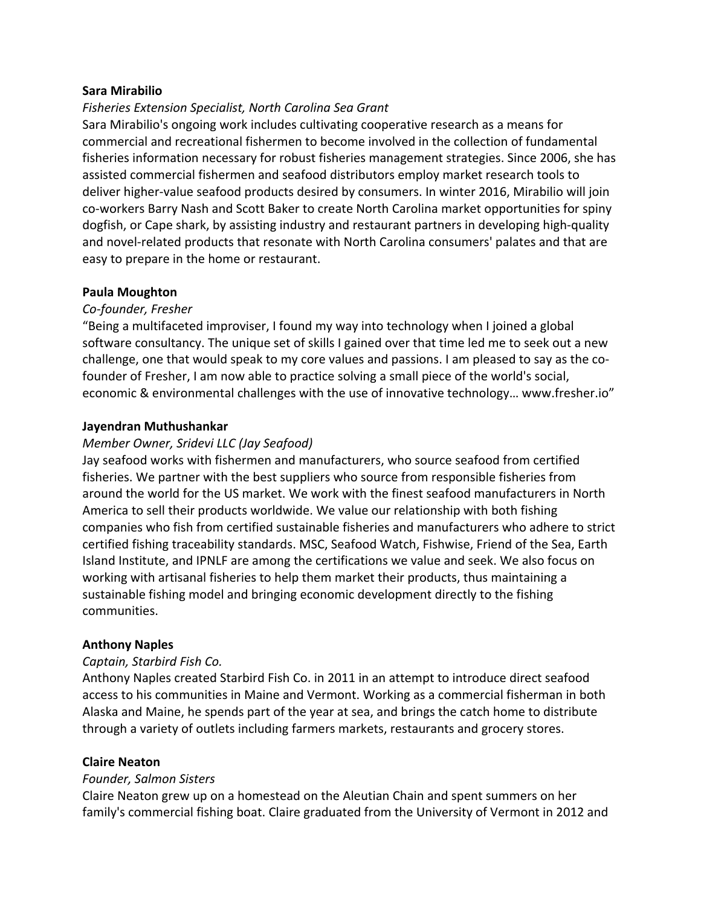## **Sara Mirabilio**

## *Fisheries Extension Specialist, North Carolina Sea Grant*

Sara Mirabilio's ongoing work includes cultivating cooperative research as a means for commercial and recreational fishermen to become involved in the collection of fundamental fisheries information necessary for robust fisheries management strategies. Since 2006, she has assisted commercial fishermen and seafood distributors employ market research tools to deliver higher-value seafood products desired by consumers. In winter 2016, Mirabilio will join co-workers Barry Nash and Scott Baker to create North Carolina market opportunities for spiny dogfish, or Cape shark, by assisting industry and restaurant partners in developing high-quality and novel-related products that resonate with North Carolina consumers' palates and that are easy to prepare in the home or restaurant.

#### **Paula Moughton**

#### *Co-founder, Fresher*

"Being a multifaceted improviser, I found my way into technology when I joined a global software consultancy. The unique set of skills I gained over that time led me to seek out a new challenge, one that would speak to my core values and passions. I am pleased to say as the cofounder of Fresher, I am now able to practice solving a small piece of the world's social, economic & environmental challenges with the use of innovative technology... www.fresher.io"

#### **Jayendran Muthushankar**

#### *Member Owner, Sridevi LLC (Jay Seafood)*

Jay seafood works with fishermen and manufacturers, who source seafood from certified fisheries. We partner with the best suppliers who source from responsible fisheries from around the world for the US market. We work with the finest seafood manufacturers in North America to sell their products worldwide. We value our relationship with both fishing companies who fish from certified sustainable fisheries and manufacturers who adhere to strict certified fishing traceability standards. MSC, Seafood Watch, Fishwise, Friend of the Sea, Earth Island Institute, and IPNLF are among the certifications we value and seek. We also focus on working with artisanal fisheries to help them market their products, thus maintaining a sustainable fishing model and bringing economic development directly to the fishing communities.

#### **Anthony Naples**

#### *Captain, Starbird Fish Co.*

Anthony Naples created Starbird Fish Co. in 2011 in an attempt to introduce direct seafood access to his communities in Maine and Vermont. Working as a commercial fisherman in both Alaska and Maine, he spends part of the year at sea, and brings the catch home to distribute through a variety of outlets including farmers markets, restaurants and grocery stores.

## **Claire Neaton**

#### *Founder, Salmon Sisters*

Claire Neaton grew up on a homestead on the Aleutian Chain and spent summers on her family's commercial fishing boat. Claire graduated from the University of Vermont in 2012 and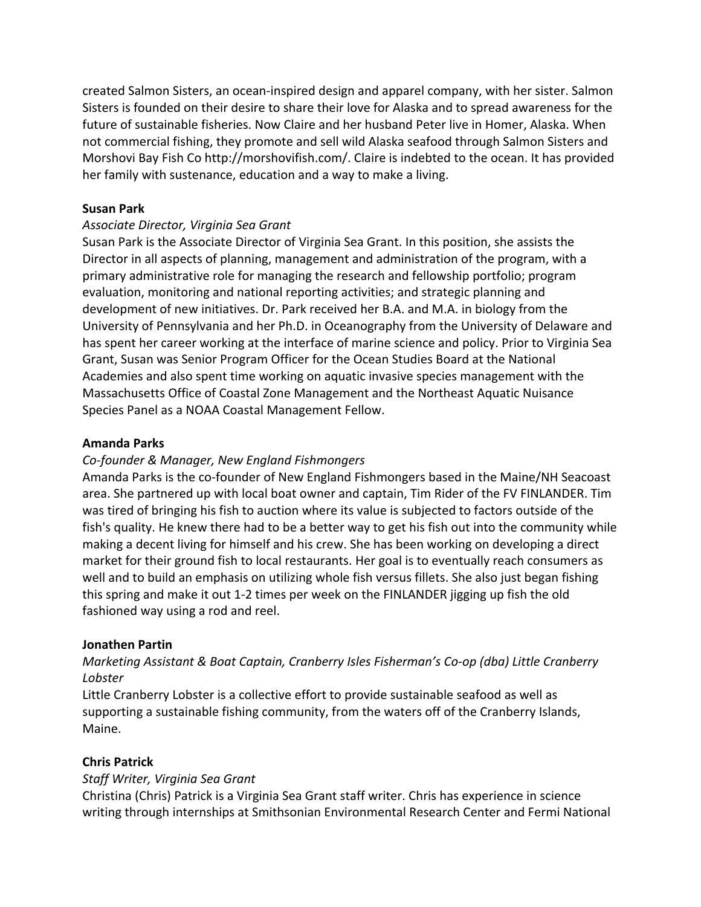created Salmon Sisters, an ocean-inspired design and apparel company, with her sister. Salmon Sisters is founded on their desire to share their love for Alaska and to spread awareness for the future of sustainable fisheries. Now Claire and her husband Peter live in Homer, Alaska. When not commercial fishing, they promote and sell wild Alaska seafood through Salmon Sisters and Morshovi Bay Fish Co http://morshovifish.com/. Claire is indebted to the ocean. It has provided her family with sustenance, education and a way to make a living.

## **Susan Park**

#### *Associate Director, Virginia Sea Grant*

Susan Park is the Associate Director of Virginia Sea Grant. In this position, she assists the Director in all aspects of planning, management and administration of the program, with a primary administrative role for managing the research and fellowship portfolio; program evaluation, monitoring and national reporting activities; and strategic planning and development of new initiatives. Dr. Park received her B.A. and M.A. in biology from the University of Pennsylvania and her Ph.D. in Oceanography from the University of Delaware and has spent her career working at the interface of marine science and policy. Prior to Virginia Sea Grant, Susan was Senior Program Officer for the Ocean Studies Board at the National Academies and also spent time working on aquatic invasive species management with the Massachusetts Office of Coastal Zone Management and the Northeast Aquatic Nuisance Species Panel as a NOAA Coastal Management Fellow.

#### **Amanda Parks**

#### *Co-founder & Manager, New England Fishmongers*

Amanda Parks is the co-founder of New England Fishmongers based in the Maine/NH Seacoast area. She partnered up with local boat owner and captain, Tim Rider of the FV FINLANDER. Tim was tired of bringing his fish to auction where its value is subjected to factors outside of the fish's quality. He knew there had to be a better way to get his fish out into the community while making a decent living for himself and his crew. She has been working on developing a direct market for their ground fish to local restaurants. Her goal is to eventually reach consumers as well and to build an emphasis on utilizing whole fish versus fillets. She also just began fishing this spring and make it out 1-2 times per week on the FINLANDER jigging up fish the old fashioned way using a rod and reel.

#### **Jonathen Partin**

## *Marketing Assistant & Boat Captain, Cranberry Isles Fisherman's Co-op (dba) Little Cranberry Lobster*

Little Cranberry Lobster is a collective effort to provide sustainable seafood as well as supporting a sustainable fishing community, from the waters off of the Cranberry Islands, Maine.

## **Chris Patrick**

## *Staff Writer, Virginia Sea Grant*

Christina (Chris) Patrick is a Virginia Sea Grant staff writer. Chris has experience in science writing through internships at Smithsonian Environmental Research Center and Fermi National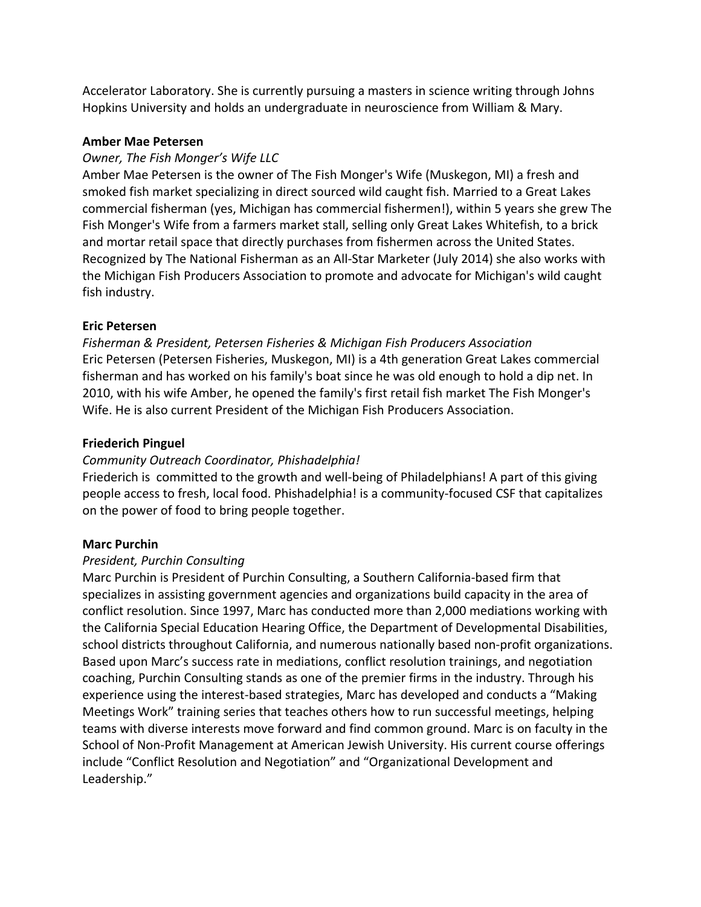Accelerator Laboratory. She is currently pursuing a masters in science writing through Johns Hopkins University and holds an undergraduate in neuroscience from William & Mary.

## **Amber Mae Petersen**

## **Owner, The Fish Monger's Wife LLC**

Amber Mae Petersen is the owner of The Fish Monger's Wife (Muskegon, MI) a fresh and smoked fish market specializing in direct sourced wild caught fish. Married to a Great Lakes commercial fisherman (yes, Michigan has commercial fishermen!), within 5 years she grew The Fish Monger's Wife from a farmers market stall, selling only Great Lakes Whitefish, to a brick and mortar retail space that directly purchases from fishermen across the United States. Recognized by The National Fisherman as an All-Star Marketer (July 2014) she also works with the Michigan Fish Producers Association to promote and advocate for Michigan's wild caught fish industry.

## **Eric Petersen**

*Fisherman & President, Petersen Fisheries & Michigan Fish Producers Association* Eric Petersen (Petersen Fisheries, Muskegon, MI) is a 4th generation Great Lakes commercial fisherman and has worked on his family's boat since he was old enough to hold a dip net. In 2010, with his wife Amber, he opened the family's first retail fish market The Fish Monger's Wife. He is also current President of the Michigan Fish Producers Association.

## **Friederich Pinguel**

## *Community Outreach Coordinator, Phishadelphia!*

Friederich is committed to the growth and well-being of Philadelphians! A part of this giving people access to fresh, local food. Phishadelphia! is a community-focused CSF that capitalizes on the power of food to bring people together.

## **Marc Purchin**

## *President, Purchin Consulting*

Marc Purchin is President of Purchin Consulting, a Southern California-based firm that specializes in assisting government agencies and organizations build capacity in the area of conflict resolution. Since 1997, Marc has conducted more than 2,000 mediations working with the California Special Education Hearing Office, the Department of Developmental Disabilities, school districts throughout California, and numerous nationally based non-profit organizations. Based upon Marc's success rate in mediations, conflict resolution trainings, and negotiation coaching, Purchin Consulting stands as one of the premier firms in the industry. Through his experience using the interest-based strategies, Marc has developed and conducts a "Making Meetings Work" training series that teaches others how to run successful meetings, helping teams with diverse interests move forward and find common ground. Marc is on faculty in the School of Non-Profit Management at American Jewish University. His current course offerings include "Conflict Resolution and Negotiation" and "Organizational Development and Leadership."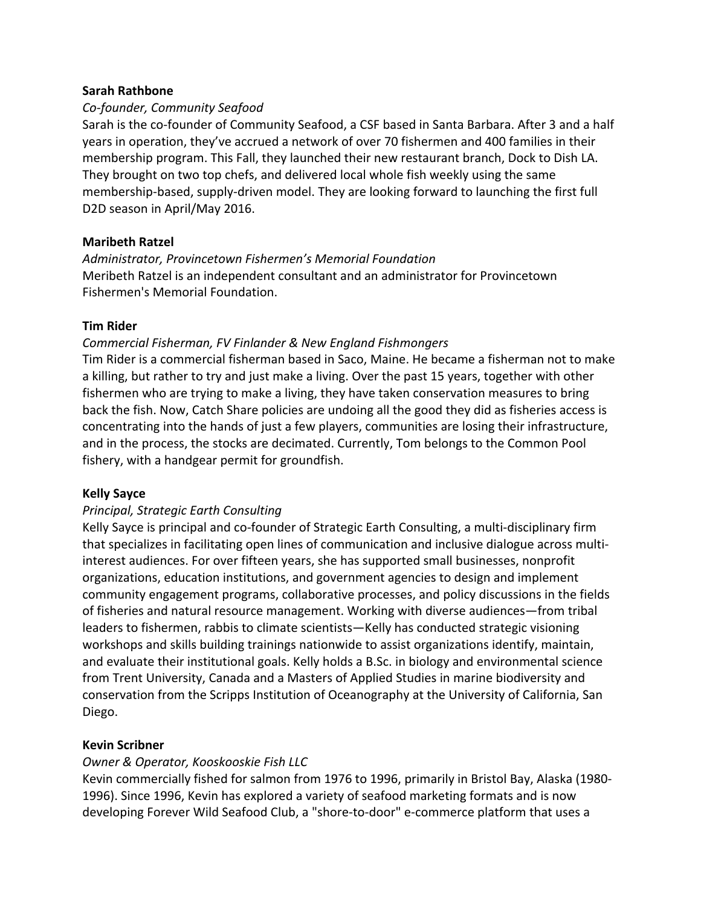## **Sarah Rathbone**

## *Co-founder, Community Seafood*

Sarah is the co-founder of Community Seafood, a CSF based in Santa Barbara. After 3 and a half years in operation, they've accrued a network of over 70 fishermen and 400 families in their membership program. This Fall, they launched their new restaurant branch, Dock to Dish LA. They brought on two top chefs, and delivered local whole fish weekly using the same membership-based, supply-driven model. They are looking forward to launching the first full D2D season in April/May 2016.

## **Maribeth Ratzel**

*Administrator, Provincetown Fishermen's Memorial Foundation* Meribeth Ratzel is an independent consultant and an administrator for Provincetown Fishermen's Memorial Foundation.

## **Tim Rider**

## *Commercial Fisherman, FV Finlander & New England Fishmongers*

Tim Rider is a commercial fisherman based in Saco, Maine. He became a fisherman not to make a killing, but rather to try and just make a living. Over the past 15 years, together with other fishermen who are trying to make a living, they have taken conservation measures to bring back the fish. Now, Catch Share policies are undoing all the good they did as fisheries access is concentrating into the hands of just a few players, communities are losing their infrastructure, and in the process, the stocks are decimated. Currently, Tom belongs to the Common Pool fishery, with a handgear permit for groundfish.

## **Kelly Sayce**

## *Principal, Strategic Earth Consulting*

Kelly Sayce is principal and co-founder of Strategic Earth Consulting, a multi-disciplinary firm that specializes in facilitating open lines of communication and inclusive dialogue across multiinterest audiences. For over fifteen years, she has supported small businesses, nonprofit organizations, education institutions, and government agencies to design and implement community engagement programs, collaborative processes, and policy discussions in the fields of fisheries and natural resource management. Working with diverse audiences—from tribal leaders to fishermen, rabbis to climate scientists—Kelly has conducted strategic visioning workshops and skills building trainings nationwide to assist organizations identify, maintain, and evaluate their institutional goals. Kelly holds a B.Sc. in biology and environmental science from Trent University, Canada and a Masters of Applied Studies in marine biodiversity and conservation from the Scripps Institution of Oceanography at the University of California, San Diego.

## **Kevin Scribner**

## **Owner & Operator, Kooskooskie Fish LLC**

Kevin commercially fished for salmon from 1976 to 1996, primarily in Bristol Bay, Alaska (1980-1996). Since 1996, Kevin has explored a variety of seafood marketing formats and is now developing Forever Wild Seafood Club, a "shore-to-door" e-commerce platform that uses a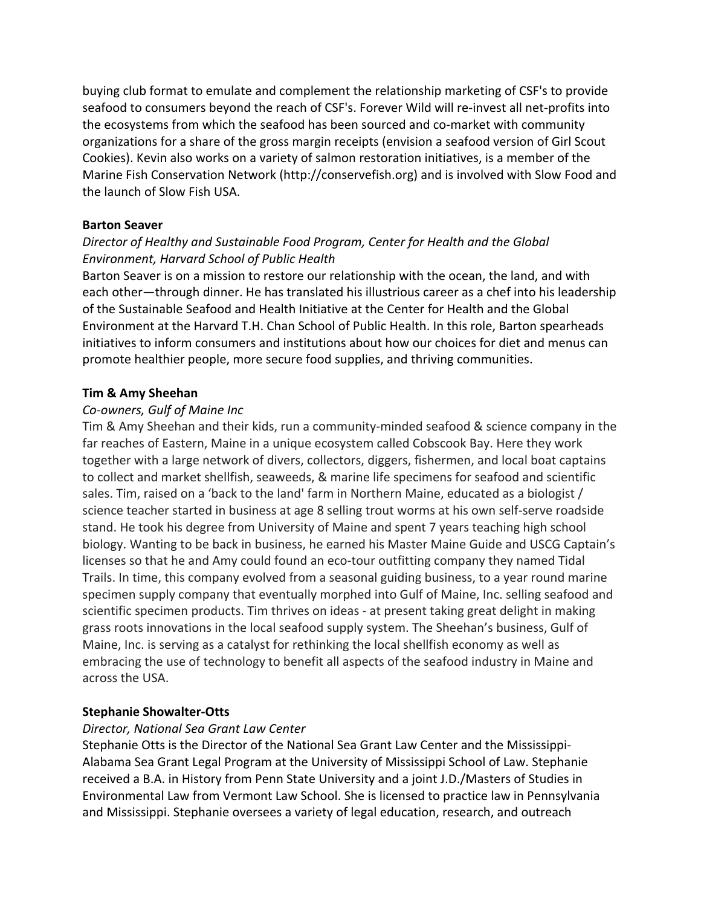buying club format to emulate and complement the relationship marketing of CSF's to provide seafood to consumers beyond the reach of CSF's. Forever Wild will re-invest all net-profits into the ecosystems from which the seafood has been sourced and co-market with community organizations for a share of the gross margin receipts (envision a seafood version of Girl Scout Cookies). Kevin also works on a variety of salmon restoration initiatives, is a member of the Marine Fish Conservation Network (http://conservefish.org) and is involved with Slow Food and the launch of Slow Fish USA.

## **Barton Seaver**

# Director of Healthy and Sustainable Food Program, Center for Health and the Global *Environment, Harvard School of Public Health*

Barton Seaver is on a mission to restore our relationship with the ocean, the land, and with each other—through dinner. He has translated his illustrious career as a chef into his leadership of the Sustainable Seafood and Health Initiative at the Center for Health and the Global Environment at the Harvard T.H. Chan School of Public Health. In this role, Barton spearheads initiatives to inform consumers and institutions about how our choices for diet and menus can promote healthier people, more secure food supplies, and thriving communities.

## **Tim & Amy Sheehan**

## *Co-owners, Gulf of Maine Inc*

Tim & Amy Sheehan and their kids, run a community-minded seafood & science company in the far reaches of Eastern, Maine in a unique ecosystem called Cobscook Bay. Here they work together with a large network of divers, collectors, diggers, fishermen, and local boat captains to collect and market shellfish, seaweeds, & marine life specimens for seafood and scientific sales. Tim, raised on a 'back to the land' farm in Northern Maine, educated as a biologist / science teacher started in business at age 8 selling trout worms at his own self-serve roadside stand. He took his degree from University of Maine and spent 7 years teaching high school biology. Wanting to be back in business, he earned his Master Maine Guide and USCG Captain's licenses so that he and Amy could found an eco-tour outfitting company they named Tidal Trails. In time, this company evolved from a seasonal guiding business, to a year round marine specimen supply company that eventually morphed into Gulf of Maine, Inc. selling seafood and scientific specimen products. Tim thrives on ideas - at present taking great delight in making grass roots innovations in the local seafood supply system. The Sheehan's business, Gulf of Maine, Inc. is serving as a catalyst for rethinking the local shellfish economy as well as embracing the use of technology to benefit all aspects of the seafood industry in Maine and across the USA.

## **Stephanie Showalter-Otts**

## *Director, National Sea Grant Law Center*

Stephanie Otts is the Director of the National Sea Grant Law Center and the Mississippi-Alabama Sea Grant Legal Program at the University of Mississippi School of Law. Stephanie received a B.A. in History from Penn State University and a joint J.D./Masters of Studies in Environmental Law from Vermont Law School. She is licensed to practice law in Pennsylvania and Mississippi. Stephanie oversees a variety of legal education, research, and outreach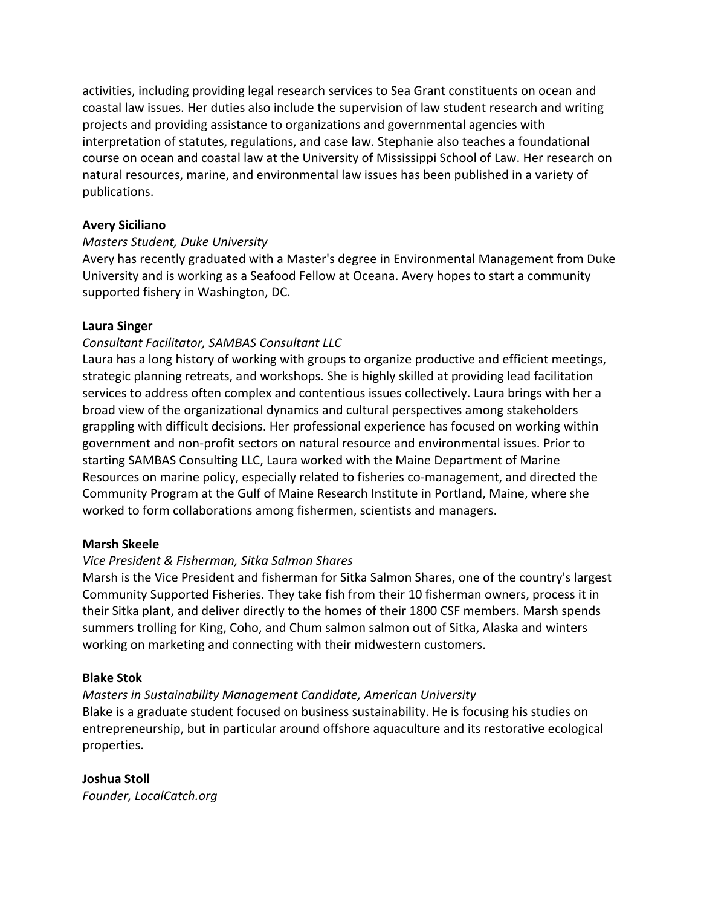activities, including providing legal research services to Sea Grant constituents on ocean and coastal law issues. Her duties also include the supervision of law student research and writing projects and providing assistance to organizations and governmental agencies with interpretation of statutes, regulations, and case law. Stephanie also teaches a foundational course on ocean and coastal law at the University of Mississippi School of Law. Her research on natural resources, marine, and environmental law issues has been published in a variety of publications.

## **Avery Siciliano**

## *Masters Student, Duke University*

Avery has recently graduated with a Master's degree in Environmental Management from Duke University and is working as a Seafood Fellow at Oceana. Avery hopes to start a community supported fishery in Washington, DC.

## **Laura Singer**

## *Consultant Facilitator, SAMBAS Consultant LLC*

Laura has a long history of working with groups to organize productive and efficient meetings, strategic planning retreats, and workshops. She is highly skilled at providing lead facilitation services to address often complex and contentious issues collectively. Laura brings with her a broad view of the organizational dynamics and cultural perspectives among stakeholders grappling with difficult decisions. Her professional experience has focused on working within government and non-profit sectors on natural resource and environmental issues. Prior to starting SAMBAS Consulting LLC, Laura worked with the Maine Department of Marine Resources on marine policy, especially related to fisheries co-management, and directed the Community Program at the Gulf of Maine Research Institute in Portland, Maine, where she worked to form collaborations among fishermen, scientists and managers.

## **Marsh Skeele**

## *Vice President & Fisherman, Sitka Salmon Shares*

Marsh is the Vice President and fisherman for Sitka Salmon Shares, one of the country's largest Community Supported Fisheries. They take fish from their 10 fisherman owners, process it in their Sitka plant, and deliver directly to the homes of their 1800 CSF members. Marsh spends summers trolling for King, Coho, and Chum salmon salmon out of Sitka, Alaska and winters working on marketing and connecting with their midwestern customers.

## **Blake Stok**

## *Masters in Sustainability Management Candidate, American University*

Blake is a graduate student focused on business sustainability. He is focusing his studies on entrepreneurship, but in particular around offshore aquaculture and its restorative ecological properties.

## **Joshua Stoll**

*Founder, LocalCatch.org*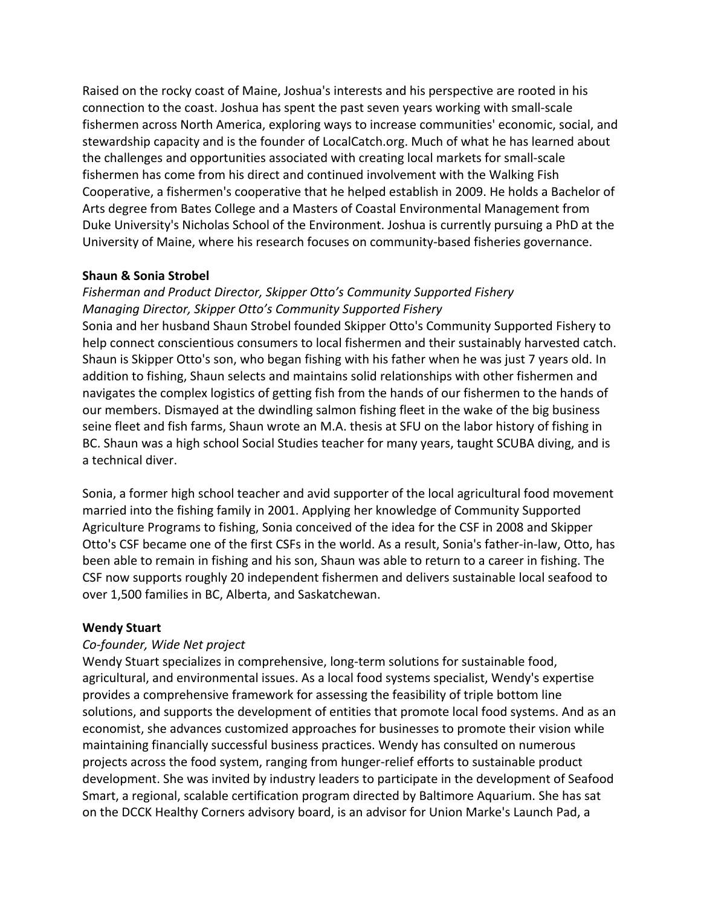Raised on the rocky coast of Maine, Joshua's interests and his perspective are rooted in his connection to the coast. Joshua has spent the past seven years working with small-scale fishermen across North America, exploring ways to increase communities' economic, social, and stewardship capacity and is the founder of LocalCatch.org. Much of what he has learned about the challenges and opportunities associated with creating local markets for small-scale fishermen has come from his direct and continued involvement with the Walking Fish Cooperative, a fishermen's cooperative that he helped establish in 2009. He holds a Bachelor of Arts degree from Bates College and a Masters of Coastal Environmental Management from Duke University's Nicholas School of the Environment. Joshua is currently pursuing a PhD at the University of Maine, where his research focuses on community-based fisheries governance.

## **Shaun & Sonia Strobel**

## Fisherman and Product Director, Skipper Otto's Community Supported Fishery *Managing Director, Skipper Otto's Community Supported Fishery*

Sonia and her husband Shaun Strobel founded Skipper Otto's Community Supported Fishery to help connect conscientious consumers to local fishermen and their sustainably harvested catch. Shaun is Skipper Otto's son, who began fishing with his father when he was just 7 years old. In addition to fishing, Shaun selects and maintains solid relationships with other fishermen and navigates the complex logistics of getting fish from the hands of our fishermen to the hands of our members. Dismayed at the dwindling salmon fishing fleet in the wake of the big business seine fleet and fish farms, Shaun wrote an M.A. thesis at SFU on the labor history of fishing in BC. Shaun was a high school Social Studies teacher for many years, taught SCUBA diving, and is a technical diver.

Sonia, a former high school teacher and avid supporter of the local agricultural food movement married into the fishing family in 2001. Applying her knowledge of Community Supported Agriculture Programs to fishing, Sonia conceived of the idea for the CSF in 2008 and Skipper Otto's CSF became one of the first CSFs in the world. As a result, Sonia's father-in-law, Otto, has been able to remain in fishing and his son, Shaun was able to return to a career in fishing. The CSF now supports roughly 20 independent fishermen and delivers sustainable local seafood to over 1,500 families in BC, Alberta, and Saskatchewan.

## **Wendy Stuart**

## *Co-founder, Wide Net project*

Wendy Stuart specializes in comprehensive, long-term solutions for sustainable food, agricultural, and environmental issues. As a local food systems specialist, Wendy's expertise provides a comprehensive framework for assessing the feasibility of triple bottom line solutions, and supports the development of entities that promote local food systems. And as an economist, she advances customized approaches for businesses to promote their vision while maintaining financially successful business practices. Wendy has consulted on numerous projects across the food system, ranging from hunger-relief efforts to sustainable product development. She was invited by industry leaders to participate in the development of Seafood Smart, a regional, scalable certification program directed by Baltimore Aquarium. She has sat on the DCCK Healthy Corners advisory board, is an advisor for Union Marke's Launch Pad, a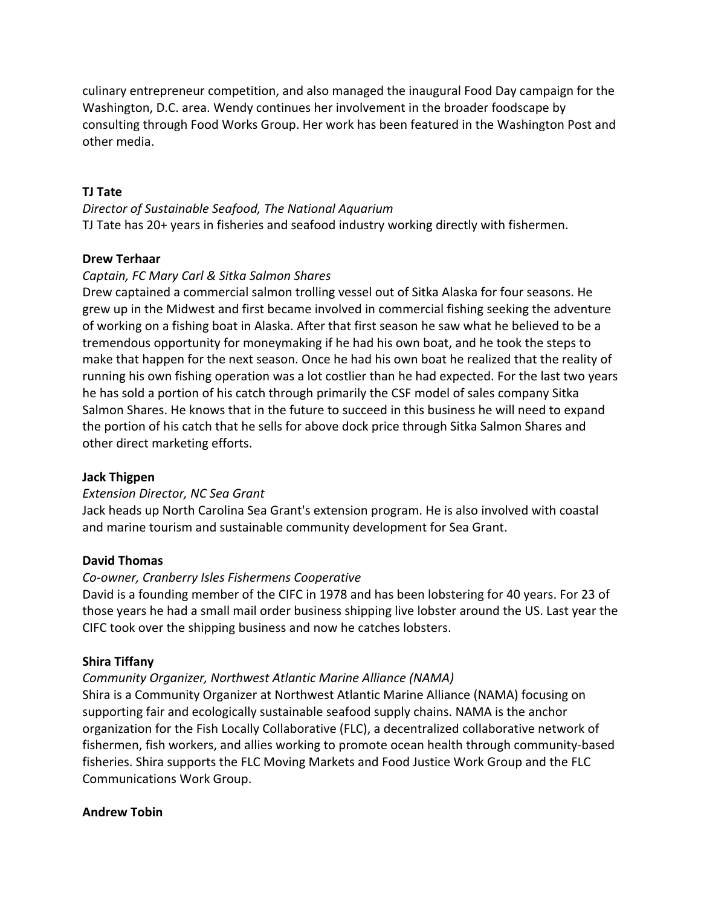culinary entrepreneur competition, and also managed the inaugural Food Day campaign for the Washington, D.C. area. Wendy continues her involvement in the broader foodscape by consulting through Food Works Group. Her work has been featured in the Washington Post and other media.

## **TJ Tate**

*Director of Sustainable Seafood, The National Aquarium* TJ Tate has 20+ years in fisheries and seafood industry working directly with fishermen.

## **Drew Terhaar**

## *Captain, FC Mary Carl & Sitka Salmon Shares*

Drew captained a commercial salmon trolling vessel out of Sitka Alaska for four seasons. He grew up in the Midwest and first became involved in commercial fishing seeking the adventure of working on a fishing boat in Alaska. After that first season he saw what he believed to be a tremendous opportunity for moneymaking if he had his own boat, and he took the steps to make that happen for the next season. Once he had his own boat he realized that the reality of running his own fishing operation was a lot costlier than he had expected. For the last two years he has sold a portion of his catch through primarily the CSF model of sales company Sitka Salmon Shares. He knows that in the future to succeed in this business he will need to expand the portion of his catch that he sells for above dock price through Sitka Salmon Shares and other direct marketing efforts.

## **Jack Thigpen**

## *Extension Director, NC Sea Grant*

Jack heads up North Carolina Sea Grant's extension program. He is also involved with coastal and marine tourism and sustainable community development for Sea Grant.

## **David Thomas**

## *Co-owner, Cranberry Isles Fishermens Cooperative*

David is a founding member of the CIFC in 1978 and has been lobstering for 40 years. For 23 of those years he had a small mail order business shipping live lobster around the US. Last year the CIFC took over the shipping business and now he catches lobsters.

## **Shira Tiffany**

## *Community Organizer, Northwest Atlantic Marine Alliance (NAMA)*

Shira is a Community Organizer at Northwest Atlantic Marine Alliance (NAMA) focusing on supporting fair and ecologically sustainable seafood supply chains. NAMA is the anchor organization for the Fish Locally Collaborative (FLC), a decentralized collaborative network of fishermen, fish workers, and allies working to promote ocean health through community-based fisheries. Shira supports the FLC Moving Markets and Food Justice Work Group and the FLC Communications Work Group.

## **Andrew Tobin**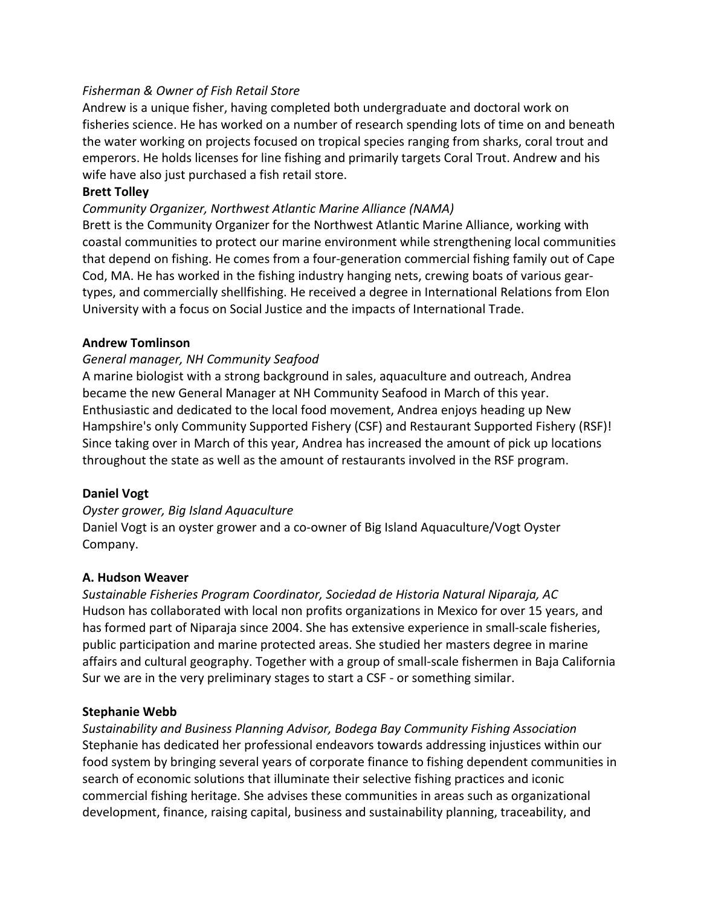## *Fisherman & Owner of Fish Retail Store*

Andrew is a unique fisher, having completed both undergraduate and doctoral work on fisheries science. He has worked on a number of research spending lots of time on and beneath the water working on projects focused on tropical species ranging from sharks, coral trout and emperors. He holds licenses for line fishing and primarily targets Coral Trout. Andrew and his wife have also just purchased a fish retail store.

## **Brett Tolley**

## *Community Organizer, Northwest Atlantic Marine Alliance (NAMA)*

Brett is the Community Organizer for the Northwest Atlantic Marine Alliance, working with coastal communities to protect our marine environment while strengthening local communities that depend on fishing. He comes from a four-generation commercial fishing family out of Cape Cod, MA. He has worked in the fishing industry hanging nets, crewing boats of various geartypes, and commercially shellfishing. He received a degree in International Relations from Elon University with a focus on Social Justice and the impacts of International Trade.

#### **Andrew Tomlinson**

## *General manager, NH Community Seafood*

A marine biologist with a strong background in sales, aquaculture and outreach, Andrea became the new General Manager at NH Community Seafood in March of this year. Enthusiastic and dedicated to the local food movement, Andrea enjoys heading up New Hampshire's only Community Supported Fishery (CSF) and Restaurant Supported Fishery (RSF)! Since taking over in March of this year, Andrea has increased the amount of pick up locations throughout the state as well as the amount of restaurants involved in the RSF program.

## **Daniel Vogt**

#### *Oyster grower, Big Island Aquaculture*

Daniel Vogt is an oyster grower and a co-owner of Big Island Aquaculture/Vogt Oyster Company.

#### **A. Hudson Weaver**

Sustainable Fisheries Program Coordinator, Sociedad de Historia Natural Niparaja, AC Hudson has collaborated with local non profits organizations in Mexico for over 15 years, and has formed part of Niparaja since 2004. She has extensive experience in small-scale fisheries, public participation and marine protected areas. She studied her masters degree in marine affairs and cultural geography. Together with a group of small-scale fishermen in Baja California Sur we are in the very preliminary stages to start a CSF - or something similar.

## **Stephanie Webb**

*Sustainability and Business Planning Advisor, Bodega Bay Community Fishing Association* Stephanie has dedicated her professional endeavors towards addressing injustices within our food system by bringing several years of corporate finance to fishing dependent communities in search of economic solutions that illuminate their selective fishing practices and iconic commercial fishing heritage. She advises these communities in areas such as organizational development, finance, raising capital, business and sustainability planning, traceability, and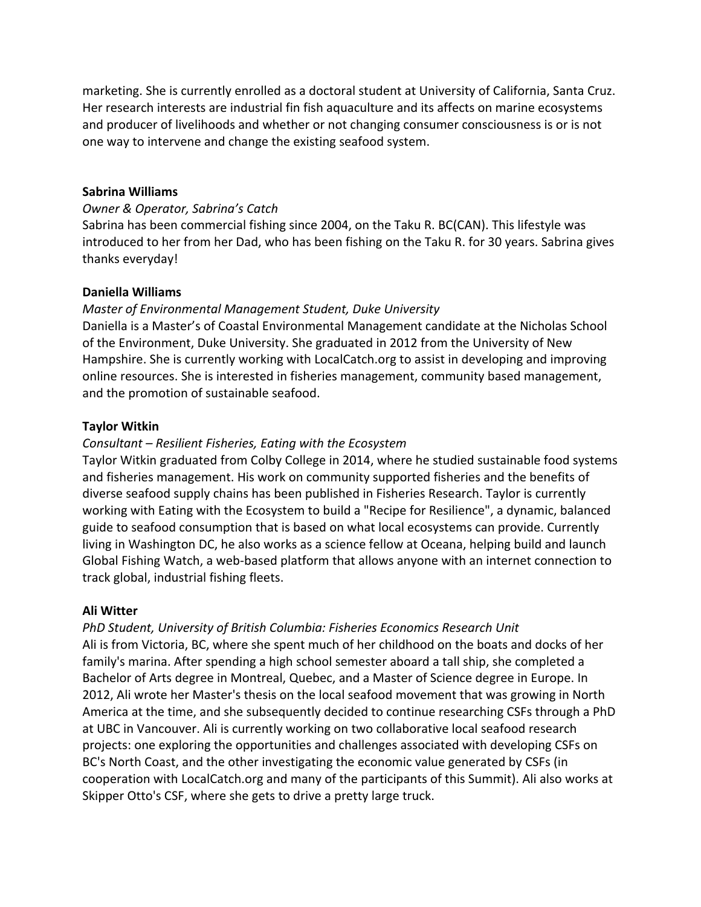marketing. She is currently enrolled as a doctoral student at University of California, Santa Cruz. Her research interests are industrial fin fish aquaculture and its affects on marine ecosystems and producer of livelihoods and whether or not changing consumer consciousness is or is not one way to intervene and change the existing seafood system.

#### **Sabrina Williams**

#### *Owner & Operator, Sabrina's Catch*

Sabrina has been commercial fishing since 2004, on the Taku R. BC(CAN). This lifestyle was introduced to her from her Dad, who has been fishing on the Taku R. for 30 years. Sabrina gives thanks everyday!

#### **Daniella Williams**

#### *Master of Environmental Management Student, Duke University*

Daniella is a Master's of Coastal Environmental Management candidate at the Nicholas School of the Environment, Duke University. She graduated in 2012 from the University of New Hampshire. She is currently working with LocalCatch.org to assist in developing and improving online resources. She is interested in fisheries management, community based management, and the promotion of sustainable seafood.

#### **Taylor Witkin**

#### *Consultant* – Resilient Fisheries, Eating with the Ecosystem

Taylor Witkin graduated from Colby College in 2014, where he studied sustainable food systems and fisheries management. His work on community supported fisheries and the benefits of diverse seafood supply chains has been published in Fisheries Research. Taylor is currently working with Eating with the Ecosystem to build a "Recipe for Resilience", a dynamic, balanced guide to seafood consumption that is based on what local ecosystems can provide. Currently living in Washington DC, he also works as a science fellow at Oceana, helping build and launch Global Fishing Watch, a web-based platform that allows anyone with an internet connection to track global, industrial fishing fleets.

#### **Ali Witter**

#### **PhD Student, University of British Columbia: Fisheries Economics Research Unit**

Ali is from Victoria, BC, where she spent much of her childhood on the boats and docks of her family's marina. After spending a high school semester aboard a tall ship, she completed a Bachelor of Arts degree in Montreal, Quebec, and a Master of Science degree in Europe. In 2012, Ali wrote her Master's thesis on the local seafood movement that was growing in North America at the time, and she subsequently decided to continue researching CSFs through a PhD at UBC in Vancouver. Ali is currently working on two collaborative local seafood research projects: one exploring the opportunities and challenges associated with developing CSFs on BC's North Coast, and the other investigating the economic value generated by CSFs (in cooperation with LocalCatch.org and many of the participants of this Summit). Ali also works at Skipper Otto's CSF, where she gets to drive a pretty large truck.